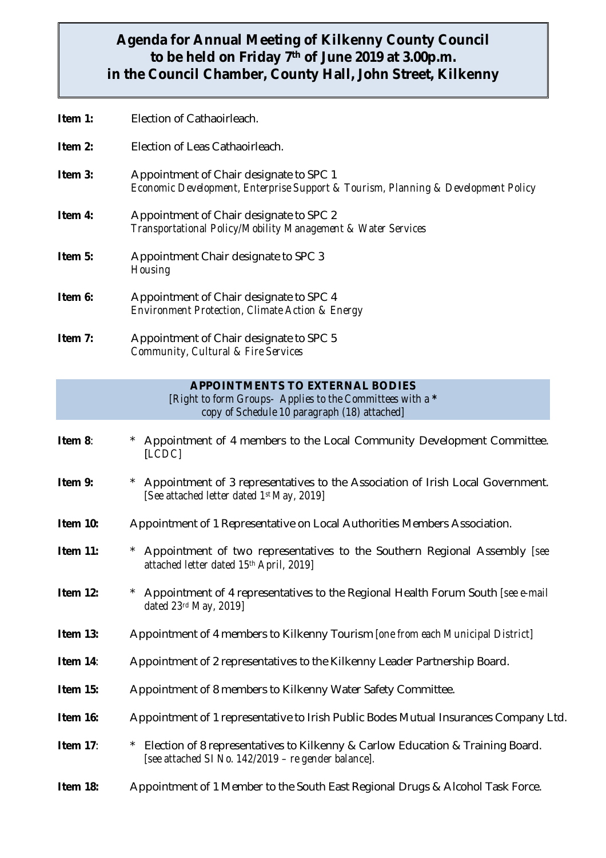## **Agenda for Annual Meeting of Kilkenny County Council to be held on Friday 7th of June 2019 at 3.00p.m. in the Council Chamber, County Hall, John Street, Kilkenny**

- **Item 1:** Election of Cathaoirleach.
- **Item 2:** Election of Leas Cathaoirleach.
- **Item 3:** Appointment of Chair designate to SPC 1 *Economic Development, Enterprise Support & Tourism, Planning & Development Policy*
- **Item 4:** Appointment of Chair designate to SPC 2 *Transportational Policy/Mobility Management & Water Services*
- **Item 5:** Appointment Chair designate to SPC 3 *Housing*
- **Item 6:** Appointment of Chair designate to SPC 4 *Environment Protection, Climate Action & Energy*
- **Item 7:** Appointment of Chair designate to SPC 5 *Community, Cultural & Fire Services*

## **APPOINTMENTS TO EXTERNAL BODIES**

*[Right to form Groups- Applies to the Committees with a \* copy of Schedule 10 paragraph (18) attached]*

- **Item 8:** \* Appointment of 4 members to the Local Community Development Committee. [*LCDC]*
- **Item 9:** \* Appointment of 3 representatives to the Association of Irish Local Government. *[See attached letter dated 1st May, 2019]*
- **Item 10:** Appointment of 1 Representative on Local Authorities Members Association.
- **Item 11:** \* Appointment of two representatives to the Southern Regional Assembly *[see attached letter dated 15th April, 2019]*
- **Item 12:** \* Appointment of 4 representatives to the Regional Health Forum South *[see e-mail dated 23rd May, 2019]*
- **Item 13:** Appointment of 4 members to Kilkenny Tourism *[one from each Municipal District]*
- **Item 14:** Appointment of 2 representatives to the Kilkenny Leader Partnership Board.
- **Item 15:** Appointment of 8 members to Kilkenny Water Safety Committee.
- **Item 16:** Appointment of 1 representative to Irish Public Bodes Mutual Insurances Company Ltd.
- **Item 17:** \* Election of 8 representatives to Kilkenny & Carlow Education & Training Board. *[see attached SI No. 142/2019 – re gender balance].*
- **Item 18:** Appointment of 1 Member to the South East Regional Drugs & Alcohol Task Force.